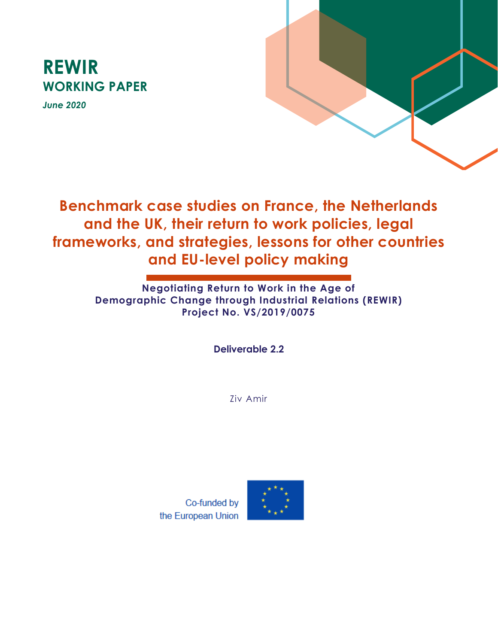

*June 2020*



**Benchmark case studies on France, the Netherlands and the UK, their return to work policies, legal frameworks, and strategies, lessons for other countries and EU-level policy making**

> **Negotiating Return to Work in the Age of Demographic Change through Industrial Relations (REWIR) Project No. VS/2019/0075**

> > **Deliverable 2.2**

Ziv Amir

Co-funded by the European Union

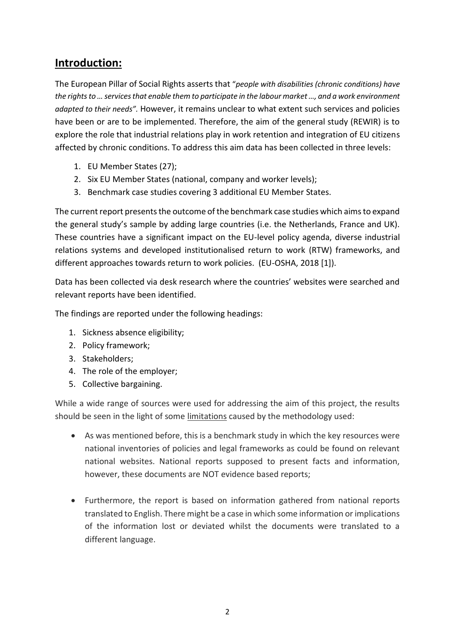## **Introduction:**

The European Pillar of Social Rights asserts that "*people with disabilities (chronic conditions) have the rights to … services that enable them to participate in the labour market …, and a work environment adapted to their needs".* However, it remains unclear to what extent such services and policies have been or are to be implemented. Therefore, the aim of the general study (REWIR) is to explore the role that industrial relations play in work retention and integration of EU citizens affected by chronic conditions. To address this aim data has been collected in three levels:

- 1. EU Member States (27);
- 2. Six EU Member States (national, company and worker levels);
- 3. Benchmark case studies covering 3 additional EU Member States.

The current report presents the outcome of the benchmark case studies which aims to expand the general study's sample by adding large countries (i.e. the Netherlands, France and UK). These countries have a significant impact on the EU-level policy agenda, diverse industrial relations systems and developed institutionalised return to work (RTW) frameworks, and different approaches towards return to work policies. (EU-OSHA, 2018 [1]).

Data has been collected via desk research where the countries' websites were searched and relevant reports have been identified.

The findings are reported under the following headings:

- 1. Sickness absence eligibility;
- 2. Policy framework;
- 3. Stakeholders;
- 4. The role of the employer;
- 5. Collective bargaining.

While a wide range of sources were used for addressing the aim of this project, the results should be seen in the light of some limitations caused by the methodology used:

- As was mentioned before, this is a benchmark study in which the key resources were national inventories of policies and legal frameworks as could be found on relevant national websites. National reports supposed to present facts and information, however, these documents are NOT evidence based reports;
- Furthermore, the report is based on information gathered from national reports translated to English. There might be a case in which some information or implications of the information lost or deviated whilst the documents were translated to a different language.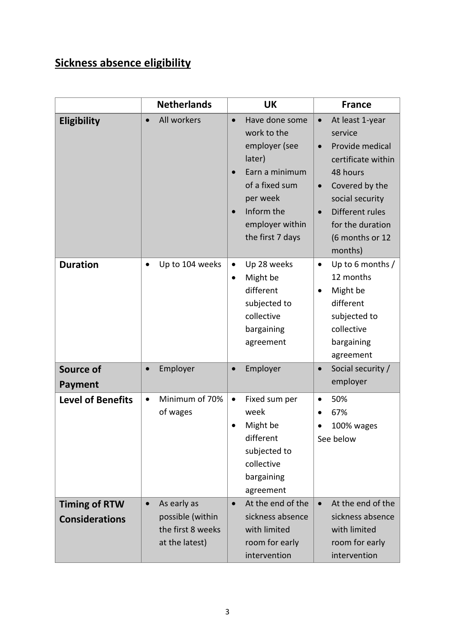# **Sickness absence eligibility**

|                                               | <b>Netherlands</b>                                                                  | <b>UK</b>                                                                                                                                                                  | <b>France</b>                                                                                                                                                                                                                                 |
|-----------------------------------------------|-------------------------------------------------------------------------------------|----------------------------------------------------------------------------------------------------------------------------------------------------------------------------|-----------------------------------------------------------------------------------------------------------------------------------------------------------------------------------------------------------------------------------------------|
| Eligibility                                   | All workers                                                                         | Have done some<br>$\bullet$<br>work to the<br>employer (see<br>later)<br>Earn a minimum<br>of a fixed sum<br>per week<br>Inform the<br>employer within<br>the first 7 days | At least 1-year<br>$\bullet$<br>service<br>Provide medical<br>$\bullet$<br>certificate within<br>48 hours<br>Covered by the<br>$\bullet$<br>social security<br>Different rules<br>$\bullet$<br>for the duration<br>(6 months or 12<br>months) |
| <b>Duration</b>                               | Up to 104 weeks<br>$\bullet$                                                        | Up 28 weeks<br>$\bullet$<br>Might be<br>$\bullet$<br>different<br>subjected to<br>collective<br>bargaining<br>agreement                                                    | Up to 6 months /<br>$\bullet$<br>12 months<br>Might be<br>different<br>subjected to<br>collective<br>bargaining<br>agreement                                                                                                                  |
| <b>Source of</b><br>Payment                   | Employer                                                                            | Employer                                                                                                                                                                   | Social security /<br>$\bullet$<br>employer                                                                                                                                                                                                    |
| <b>Level of Benefits</b>                      | Minimum of 70%<br>$\bullet$<br>of wages                                             | Fixed sum per<br>$\bullet$<br>week<br>Might be<br>different<br>subjected to<br>collective<br>bargaining<br>agreement                                                       | 50%<br>$\bullet$<br>67%<br>100% wages<br>See below                                                                                                                                                                                            |
| <b>Timing of RTW</b><br><b>Considerations</b> | As early as<br>$\bullet$<br>possible (within<br>the first 8 weeks<br>at the latest) | At the end of the<br>$\bullet$<br>sickness absence<br>with limited<br>room for early<br>intervention                                                                       | At the end of the<br>$\bullet$<br>sickness absence<br>with limited<br>room for early<br>intervention                                                                                                                                          |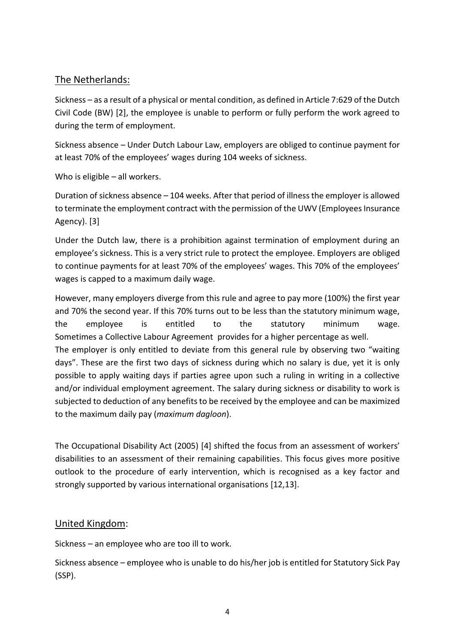### The Netherlands:

Sickness – as a result of a physical or mental condition, as defined in Article 7:629 of the Dutch Civil Code (BW) [2], the employee is unable to perform or fully perform the work agreed to during the term of employment.

Sickness absence – Under Dutch Labour Law, employers are obliged to continue payment for at least 70% of the employees' wages during 104 weeks of sickness.

Who is eligible – all workers.

Duration of sickness absence – 104 weeks. After that period of illness the employer is allowed to terminate the employment contract with the permission of the UWV (Employees Insurance Agency). [3]

Under the Dutch law, there is a prohibition against termination of employment during an employee's sickness. This is a very strict rule to protect the employee. Employers are obliged to continue payments for at least 70% of the employees' wages. This 70% of the employees' wages is capped to a maximum daily wage.

However, many employers diverge from this rule and agree to pay more (100%) the first year and 70% the second year. If this 70% turns out to be less than the statutory minimum wage, the employee is entitled to the statutory minimum wage. Sometimes a [Collective Labour Agreement](http://www.blenheim.nl/employment-law-netherlands/collective-labor-agreement-dutch-law) provides for a higher percentage as well. The employer is only entitled to deviate from this general rule by observing two "waiting days". These are the first two days of sickness during which no salary is due, yet it is only possible to apply waiting days if parties agree upon such a ruling in writing in a collective and/or individual employment agreement. The salary during sickness or disability to work is subjected to deduction of any benefits to be received by the employee and can be maximized to the maximum daily pay (*maximum dagloon*).

The Occupational Disability Act (2005) [4] shifted the focus from an assessment of workers' disabilities to an assessment of their remaining capabilities. This focus gives more positive outlook to the procedure of early intervention, which is recognised as a key factor and strongly supported by various international organisations [12,13].

### United Kingdom:

Sickness – an employee who are too ill to work.

Sickness absence – employee who is unable to do his/her job is entitled for Statutory Sick Pay (SSP).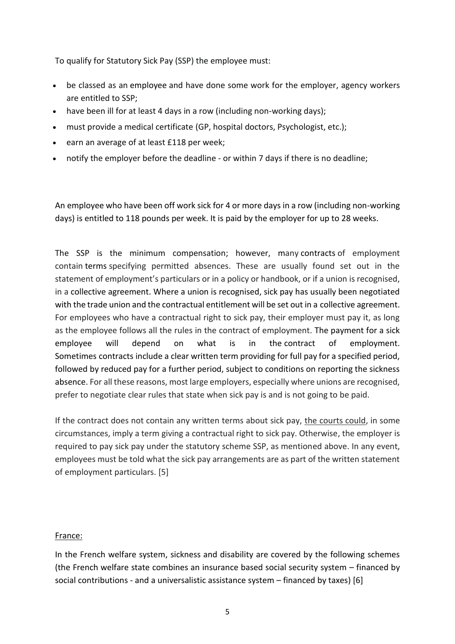To qualify for Statutory Sick Pay (SSP) the employee must:

- be classed as an [employee](https://www.gov.uk/employment-status/employee) and have done some work for the employer, agency workers are entitled to SSP;
- have been ill for at least 4 days in a row (including non-working days);
- must provide a medical certificate (GP, hospital doctors, Psychologist, etc.);
- earn an average of at least £118 per week;
- notify the employer before the deadline or within 7 days if there is no deadline;

An employee who have been off work sick for 4 or more days in a row (including non-working days) is entitled to 118 pounds per week. It is paid by the employer for up to 28 weeks.

The SSP is the minimum compensation; however, many [contracts](https://worksmart.org.uk/jargon-buster/contract) of employment contain [terms](https://worksmart.org.uk/jargon-buster/express-term) specifying permitted absences. These are usually found set out in the statement of employment's particulars or in a policy or handbook, or if a union is recognised, in a [collective agreement.](https://worksmart.org.uk/jargon-buster/collective-agreement) Where a union is recognised, sick pay has usually been negotiated with the trade union and the contractual entitlement will be set out in a [collective agreement.](https://worksmart.org.uk/jargon-buster/collective-agreement) For employees who have a contractual right to sick pay, their employer must pay it, as long as the employee follows all the rules in the contract of employment. The payment for a sick employee will depend on what is in the [contract of employment.](https://worksmart.org.uk/jargon-buster/contract-employment) Sometimes [contracts](https://worksmart.org.uk/jargon-buster/contract) include a clear written term providing for full pay for a specified period, followed by reduced pay for a further period, subject to conditions on reporting the sickness absence. For all these reasons, most large employers, especially where unions are recognised, prefer to negotiate clear rules that state when sick pay is and is not going to be paid.

If the contract does not contain any written terms about sick pay, the courts could, in some circumstances, imply a term giving a contractual right to sick pay. Otherwise, the employer is required to pay sick pay under the statutory scheme SSP, as mentioned above. In any event, employees must be told what the sick pay arrangements are as part of the written statement of employment particulars. [5]

#### France:

In the French welfare system, sickness and disability are covered by the following schemes (the French welfare state combines an insurance based social security system – financed by social contributions - and a universalistic assistance system – financed by taxes) [6]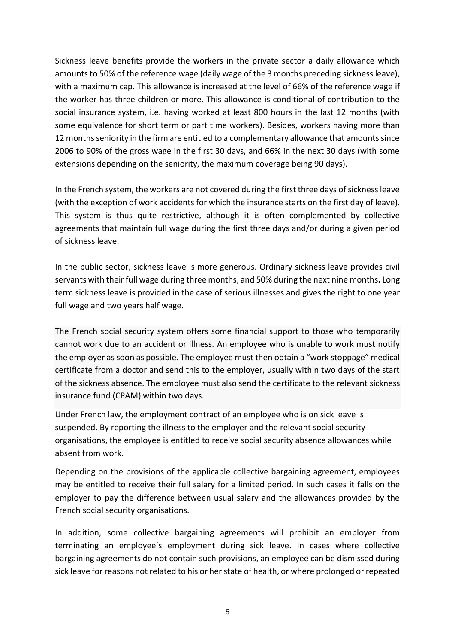Sickness leave benefits provide the workers in the private sector a daily allowance which amounts to 50% of the reference wage (daily wage of the 3 months preceding sickness leave), with a maximum cap. This allowance is increased at the level of 66% of the reference wage if the worker has three children or more. This allowance is conditional of contribution to the social insurance system, i.e. having worked at least 800 hours in the last 12 months (with some equivalence for short term or part time workers). Besides, workers having more than 12 months seniority in the firm are entitled to a complementary allowance that amounts since 2006 to 90% of the gross wage in the first 30 days, and 66% in the next 30 days (with some extensions depending on the seniority, the maximum coverage being 90 days).

In the French system, the workers are not covered during the first three days of sickness leave (with the exception of work accidents for which the insurance starts on the first day of leave). This system is thus quite restrictive, although it is often complemented by collective agreements that maintain full wage during the first three days and/or during a given period of sickness leave.

In the public sector, sickness leave is more generous. Ordinary sickness leave provides civil servants with their full wage during three months, and 50% during the next nine months**.** Long term sickness leave is provided in the case of serious illnesses and gives the right to one year full wage and two years half wage.

The French social security system offers some financial support to those who temporarily cannot work due to an accident or illness. An employee who is unable to work must notify the employer as soon as possible. The employee must then obtain a "work stoppage" medical certificate from a doctor and send this to the employer, usually within two days of the start of the sickness absence. The employee must also send the certificate to the relevant sickness insurance fund (CPAM) within two days.

Under French law, the employment contract of an employee who is on sick leave is suspended. By reporting the illness to the employer and the relevant social security organisations, the employee is entitled to receive social security absence allowances while absent from work.

Depending on the provisions of the applicable collective bargaining agreement, employees may be entitled to receive their full salary for a limited period. In such cases it falls on the employer to pay the difference between usual salary and the allowances provided by the French social security organisations.

In addition, some collective bargaining agreements will prohibit an employer from terminating an employee's employment during sick leave. In cases where collective bargaining agreements do not contain such provisions, an employee can be dismissed during sick leave for reasons not related to his or her state of health, or where prolonged or repeated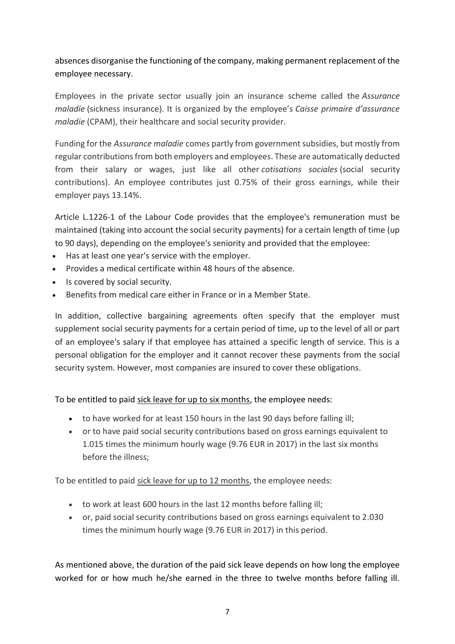### absences disorganise the functioning of the company, making permanent replacement of the employee necessary.

Employees in the private sector usually join an insurance scheme called the *Assurance maladie* (sickness insurance). It is organized by the employee's *Caisse primaire d'assurance maladie* (CPAM), their healthcare and social security provider.

Funding for the *Assurance maladie* comes partly from government subsidies, but mostly from regular contributions from both employers and employees. These are automatically deducted from their salary or wages, just like all other *cotisations sociales* (social security contributions). An employee contributes just 0.75% of their gross earnings, while their employer pays 13.14%.

Article L.1226-1 of the Labour Code provides that the employee's remuneration must be maintained (taking into account the social security payments) for a certain length of time (up to 90 days), depending on the employee's seniority and provided that the employee:

- Has at least one year's service with the employer.
- Provides a medical certificate within 48 hours of the absence.
- Is covered by social security.
- Benefits from medical care either in France or in a Member State.

In addition, collective bargaining agreements often specify that the employer must supplement social security payments for a certain period of time, up to the level of all or part of an employee's salary if that employee has attained a specific length of service. This is a personal obligation for the employer and it cannot recover these payments from the social security system. However, most companies are insured to cover these obligations.

#### To be entitled to paid sick leave for up to six months, the employee needs:

- to have worked for at least 150 hours in the last 90 days before falling ill;
- or to have paid social security contributions based on gross earnings equivalent to 1.015 times the minimum hourly wage (9.76 EUR in 2017) in the last six months before the illness;

To be entitled to paid sick leave for up to 12 months, the employee needs:

- to work at least 600 hours in the last 12 months before falling ill;
- or, paid social security contributions based on gross earnings equivalent to 2.030 times the minimum hourly wage (9.76 EUR in 2017) in this period.

As mentioned above, the duration of the paid sick leave depends on how long the employee worked for or how much he/she earned in the three to twelve months before falling ill.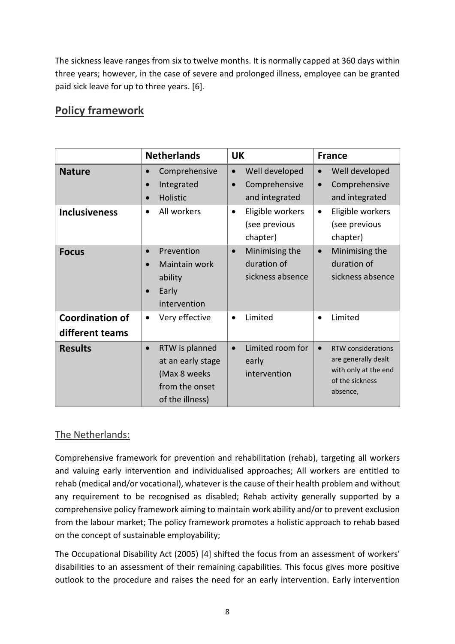The sickness leave ranges from six to twelve months. It is normally capped at 360 days within three years; however, in the case of severe and prolonged illness, employee can be granted paid sick leave for up to three years. [6].

## **Policy framework**

|                                           | <b>Netherlands</b>                                                                                    | <b>UK</b>                                                      | <b>France</b>                                                                                                 |
|-------------------------------------------|-------------------------------------------------------------------------------------------------------|----------------------------------------------------------------|---------------------------------------------------------------------------------------------------------------|
| <b>Nature</b>                             | Comprehensive<br>Integrated<br>$\bullet$<br>Holistic<br>$\bullet$                                     | Well developed<br>Comprehensive<br>$\bullet$<br>and integrated | Well developed<br>$\bullet$<br>Comprehensive<br>$\bullet$<br>and integrated                                   |
| <b>Inclusiveness</b>                      | All workers<br>$\bullet$                                                                              | Eligible workers<br>$\bullet$<br>(see previous<br>chapter)     | Eligible workers<br>$\bullet$<br>(see previous<br>chapter)                                                    |
| <b>Focus</b>                              | Prevention<br>$\bullet$<br>Maintain work<br>ability<br>Early<br>intervention                          | Minimising the<br>$\bullet$<br>duration of<br>sickness absence | Minimising the<br>$\bullet$<br>duration of<br>sickness absence                                                |
| <b>Coordination of</b><br>different teams | Very effective<br>$\bullet$                                                                           | Limited<br>$\bullet$                                           | Limited<br>$\bullet$                                                                                          |
| <b>Results</b>                            | RTW is planned<br>$\bullet$<br>at an early stage<br>(Max 8 weeks<br>from the onset<br>of the illness) | Limited room for<br>$\bullet$<br>early<br>intervention         | RTW considerations<br>$\bullet$<br>are generally dealt<br>with only at the end<br>of the sickness<br>absence, |

## The Netherlands:

Comprehensive framework for prevention and rehabilitation (rehab), targeting all workers and valuing early intervention and individualised approaches; All workers are entitled to rehab (medical and/or vocational), whatever is the cause of their health problem and without any requirement to be recognised as disabled; Rehab activity generally supported by a comprehensive policy framework aiming to maintain work ability and/or to prevent exclusion from the labour market; The policy framework promotes a holistic approach to rehab based on the concept of sustainable employability;

The Occupational Disability Act (2005) [4] shifted the focus from an assessment of workers' disabilities to an assessment of their remaining capabilities. This focus gives more positive outlook to the procedure and raises the need for an early intervention. Early intervention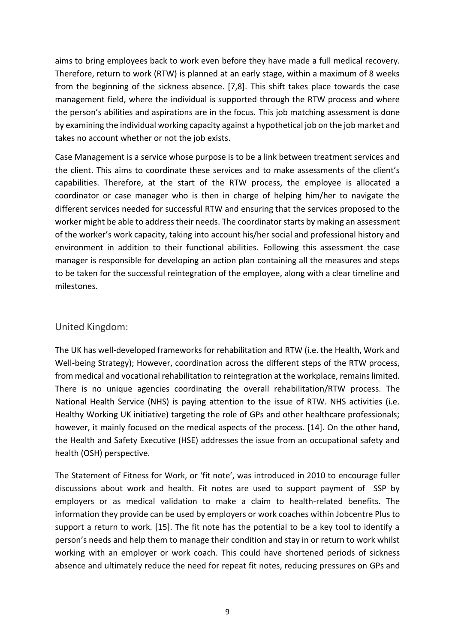aims to bring employees back to work even before they have made a full medical recovery. Therefore, return to work (RTW) is planned at an early stage, within a maximum of 8 weeks from the beginning of the sickness absence. [7,8]. This shift takes place towards the case management field, where the individual is supported through the RTW process and where the person's abilities and aspirations are in the focus. This job matching assessment is done by examining the individual working capacity against a hypothetical job on the job market and takes no account whether or not the job exists.

Case Management is a service whose purpose is to be a link between treatment services and the client. This aims to coordinate these services and to make assessments of the client's capabilities. Therefore, at the start of the RTW process, the employee is allocated a coordinator or case manager who is then in charge of helping him/her to navigate the different services needed for successful RTW and ensuring that the services proposed to the worker might be able to address their needs. The coordinator starts by making an assessment of the worker's work capacity, taking into account his/her social and professional history and environment in addition to their functional abilities. Following this assessment the case manager is responsible for developing an action plan containing all the measures and steps to be taken for the successful reintegration of the employee, along with a clear timeline and milestones.

### United Kingdom:

The UK has well-developed frameworks for rehabilitation and RTW (i.e. the Health, Work and Well-being Strategy); However, coordination across the different steps of the RTW process, from medical and vocational rehabilitation to reintegration at the workplace, remains limited. There is no unique agencies coordinating the overall rehabilitation/RTW process. The National Health Service (NHS) is paying attention to the issue of RTW. NHS activities (i.e. Healthy Working UK initiative) targeting the role of GPs and other healthcare professionals; however, it mainly focused on the medical aspects of the process. [14]. On the other hand, the Health and Safety Executive (HSE) addresses the issue from an occupational safety and health (OSH) perspective.

The Statement of Fitness for Work, or 'fit note', was introduced in 2010 to encourage fuller discussions about work and health. Fit notes are used to support payment of SSP by employers or as medical validation to make a claim to health-related benefits. The information they provide can be used by employers or work coaches within Jobcentre Plus to support a return to work. [15]. The fit note has the potential to be a key tool to identify a person's needs and help them to manage their condition and stay in or return to work whilst working with an employer or work coach. This could have shortened periods of sickness absence and ultimately reduce the need for repeat fit notes, reducing pressures on GPs and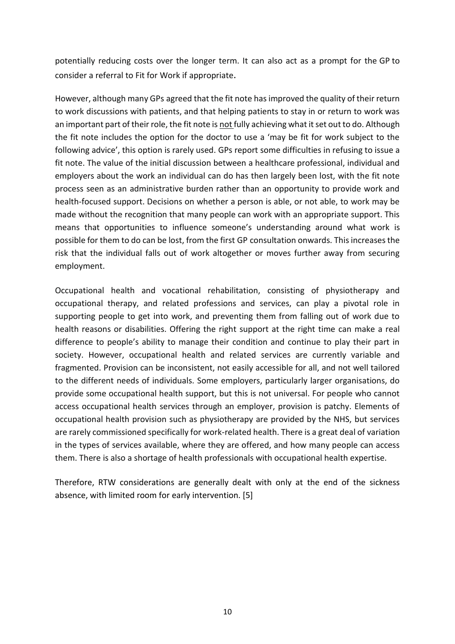potentially reducing costs over the longer term. It can also act as a prompt for the GP to consider a referral to Fit for Work if appropriate.

However, although many GPs agreed that the fit note has improved the quality of their return to work discussions with patients, and that helping patients to stay in or return to work was an important part of their role, the fit note is not fully achieving what it set out to do. Although the fit note includes the option for the doctor to use a 'may be fit for work subject to the following advice', this option is rarely used. GPs report some difficulties in refusing to issue a fit note. The value of the initial discussion between a healthcare professional, individual and employers about the work an individual can do has then largely been lost, with the fit note process seen as an administrative burden rather than an opportunity to provide work and health-focused support. Decisions on whether a person is able, or not able, to work may be made without the recognition that many people can work with an appropriate support. This means that opportunities to influence someone's understanding around what work is possible for them to do can be lost, from the first GP consultation onwards. This increases the risk that the individual falls out of work altogether or moves further away from securing employment.

Occupational health and vocational rehabilitation, consisting of physiotherapy and occupational therapy, and related professions and services, can play a pivotal role in supporting people to get into work, and preventing them from falling out of work due to health reasons or disabilities. Offering the right support at the right time can make a real difference to people's ability to manage their condition and continue to play their part in society. However, occupational health and related services are currently variable and fragmented. Provision can be inconsistent, not easily accessible for all, and not well tailored to the different needs of individuals. Some employers, particularly larger organisations, do provide some occupational health support, but this is not universal. For people who cannot access occupational health services through an employer, provision is patchy. Elements of occupational health provision such as physiotherapy are provided by the NHS, but services are rarely commissioned specifically for work-related health. There is a great deal of variation in the types of services available, where they are offered, and how many people can access them. There is also a shortage of health professionals with occupational health expertise.

Therefore, RTW considerations are generally dealt with only at the end of the sickness absence, with limited room for early intervention. [5]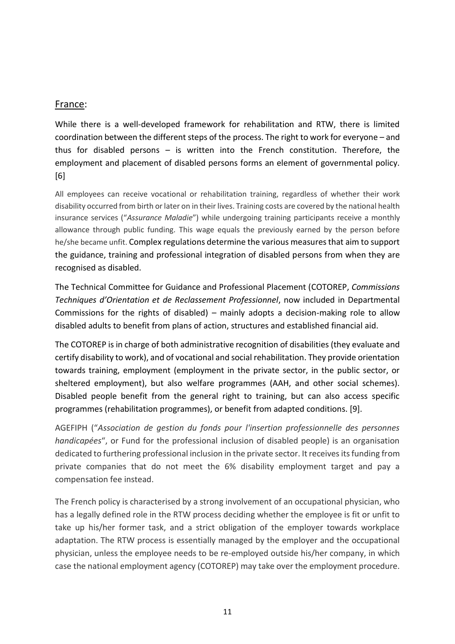#### France:

While there is a well-developed framework for rehabilitation and RTW, there is limited coordination between the different steps of the process. The right to work for everyone – and thus for disabled persons – is written into the French constitution. Therefore, the employment and placement of disabled persons forms an element of governmental policy. [6]

All employees can receive vocational or rehabilitation training, regardless of whether their work disability occurred from birth or later on in their lives. Training costs are covered by the national health insurance services ("*Assurance Maladie*") while undergoing training participants receive a monthly allowance through public funding. This wage equals the previously earned by the person before he/she became unfit. Complex regulations determine the various measures that aim to support the guidance, training and professional integration of disabled persons from when they are recognised as disabled.

The Technical Committee for Guidance and Professional Placement (COTOREP, *Commissions Techniques d'Orientation et de Reclassement Professionnel*, now included in Departmental Commissions for the rights of disabled) – mainly adopts a decision-making role to allow disabled adults to benefit from plans of action, structures and established financial aid.

The COTOREP is in charge of both administrative recognition of disabilities (they evaluate and certify disability to work), and of vocational and social rehabilitation. They provide orientation towards training, employment (employment in the private sector, in the public sector, or sheltered employment), but also welfare programmes (AAH, and other social schemes). Disabled people benefit from the general right to training, but can also access specific programmes (rehabilitation programmes), or benefit from adapted conditions. [9].

AGEFIPH ("*Association de gestion du fonds pour l'insertion professionnelle des personnes handicapées*", or Fund for the professional inclusion of disabled people) is an organisation dedicated to furthering professional inclusion in the private sector. It receives its funding from private companies that do not meet the 6% disability employment target and pay a compensation fee instead.

The French policy is characterised by a strong involvement of an occupational physician, who has a legally defined role in the RTW process deciding whether the employee is fit or unfit to take up his/her former task, and a strict obligation of the employer towards workplace adaptation. The RTW process is essentially managed by the employer and the occupational physician, unless the employee needs to be re-employed outside his/her company, in which case the national employment agency (COTOREP) may take over the employment procedure.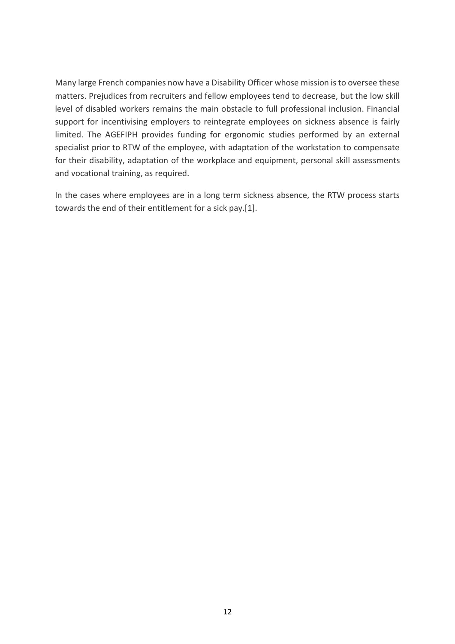Many large French companies now have a Disability Officer whose mission is to oversee these matters. Prejudices from recruiters and fellow employees tend to decrease, but the low skill level of disabled workers remains the main obstacle to full professional inclusion. Financial support for incentivising employers to reintegrate employees on sickness absence is fairly limited. The AGEFIPH provides funding for ergonomic studies performed by an external specialist prior to RTW of the employee, with adaptation of the workstation to compensate for their disability, adaptation of the workplace and equipment, personal skill assessments and vocational training, as required.

In the cases where employees are in a long term sickness absence, the RTW process starts towards the end of their entitlement for a sick pay.[1].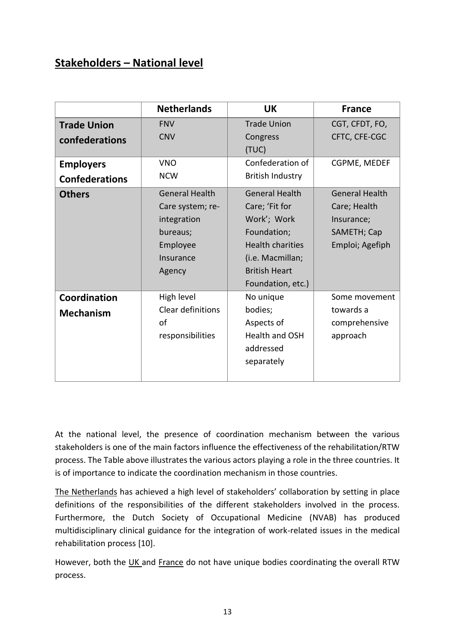## **Stakeholders – National level**

|                       | <b>Netherlands</b>    | <b>UK</b>               | <b>France</b>         |
|-----------------------|-----------------------|-------------------------|-----------------------|
| <b>Trade Union</b>    | <b>FNV</b>            | <b>Trade Union</b>      | CGT, CFDT, FO,        |
| confederations        | <b>CNV</b>            | Congress                | CFTC, CFE-CGC         |
|                       |                       | (TUC)                   |                       |
| <b>Employers</b>      | <b>VNO</b>            | Confederation of        | CGPME, MEDEF          |
| <b>Confederations</b> | <b>NCW</b>            | <b>British Industry</b> |                       |
| <b>Others</b>         | <b>General Health</b> | <b>General Health</b>   | <b>General Health</b> |
|                       | Care system; re-      | Care; 'Fit for          | Care; Health          |
|                       | integration           | Work'; Work             | Insurance;            |
|                       | bureaus;              | Foundation;             | SAMETH; Cap           |
|                       | Employee              | <b>Health charities</b> | Emploi; Agefiph       |
|                       | Insurance             | (i.e. Macmillan;        |                       |
|                       | Agency                | <b>British Heart</b>    |                       |
|                       |                       | Foundation, etc.)       |                       |
| Coordination          | High level            | No unique               | Some movement         |
| <b>Mechanism</b>      | Clear definitions     | bodies;                 | towards a             |
|                       | of                    | Aspects of              | comprehensive         |
|                       | responsibilities      | <b>Health and OSH</b>   | approach              |
|                       |                       | addressed               |                       |
|                       |                       | separately              |                       |
|                       |                       |                         |                       |

At the national level, the presence of coordination mechanism between the various stakeholders is one of the main factors influence the effectiveness of the rehabilitation/RTW process. The Table above illustrates the various actors playing a role in the three countries. It is of importance to indicate the coordination mechanism in those countries.

The Netherlands has achieved a high level of stakeholders' collaboration by setting in place definitions of the responsibilities of the different stakeholders involved in the process. Furthermore, the Dutch Society of Occupational Medicine (NVAB) has produced multidisciplinary clinical guidance for the integration of work-related issues in the medical rehabilitation process [10].

However, both the UK and France do not have unique bodies coordinating the overall RTW process.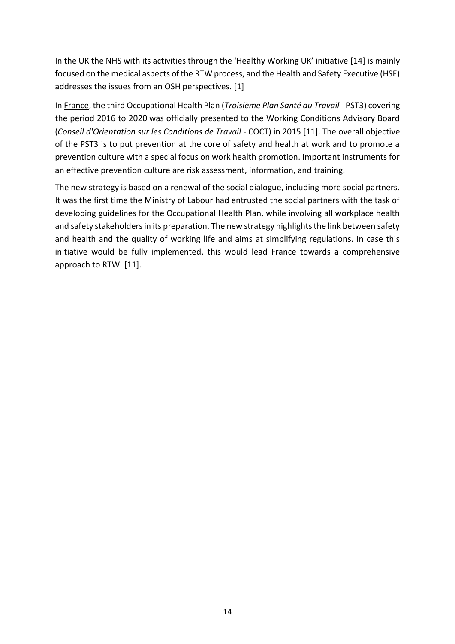In the UK the NHS with its activities through the 'Healthy Working UK' initiative [14] is mainly focused on the medical aspects of the RTW process, and the Health and Safety Executive (HSE) addresses the issues from an OSH perspectives. [1]

In France, the third Occupational Health Plan (*Troisième Plan Santé au Travail* - PST3) covering the period 2016 to 2020 was officially presented to the Working Conditions Advisory Board (*Conseil d'Orientation sur les Conditions de Travail* - COCT) in 2015 [11]. The overall objective of the PST3 is to put prevention at the core of safety and health at work and to promote a prevention culture with a special focus on work health promotion. Important instruments for an effective prevention culture are risk assessment, information, and training.

The new strategy is based on a renewal of the social dialogue, including more social partners. It was the first time the Ministry of Labour had entrusted the social partners with the task of developing guidelines for the Occupational Health Plan, while involving all workplace health and safety stakeholders in its preparation. The new strategy highlights the link between safety and health and the quality of working life and aims at simplifying regulations. In case this initiative would be fully implemented, this would lead France towards a comprehensive approach to RTW. [11].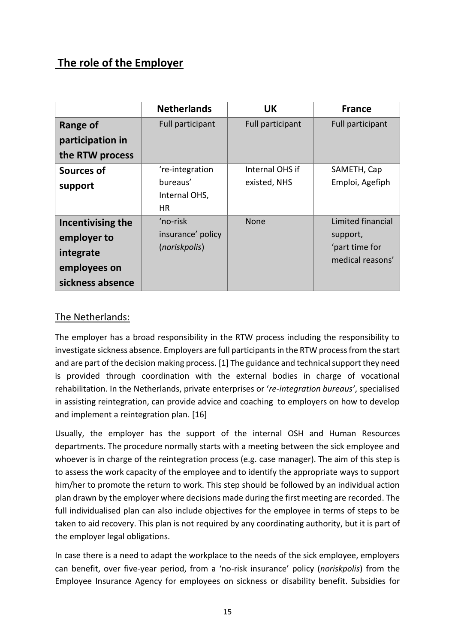## **The role of the Employer**

|                                                                                   | <b>Netherlands</b>                                        | <b>UK</b>                       | <b>France</b>                                                       |
|-----------------------------------------------------------------------------------|-----------------------------------------------------------|---------------------------------|---------------------------------------------------------------------|
| <b>Range of</b><br>participation in<br>the RTW process                            | Full participant                                          | Full participant                | Full participant                                                    |
| <b>Sources of</b><br>support                                                      | 're-integration<br>bureaus'<br>Internal OHS,<br><b>HR</b> | Internal OHS if<br>existed, NHS | SAMETH, Cap<br>Emploi, Agefiph                                      |
| Incentivising the<br>employer to<br>integrate<br>employees on<br>sickness absence | 'no-risk<br>insurance' policy<br>(noriskpolis)            | None                            | Limited financial<br>support,<br>'part time for<br>medical reasons' |

### The Netherlands:

The employer has a broad responsibility in the RTW process including the responsibility to investigate sickness absence. Employers are full participants in the RTW process from the start and are part of the decision making process. [1] The guidance and technical support they need is provided through coordination with the external bodies in charge of vocational rehabilitation. In the Netherlands, private enterprises or '*re-integration bureaus'*, specialised in assisting reintegration, can provide advice and coaching to employers on how to develop and implement a reintegration plan. [16]

Usually, the employer has the support of the internal OSH and Human Resources departments. The procedure normally starts with a meeting between the sick employee and whoever is in charge of the reintegration process (e.g. case manager). The aim of this step is to assess the work capacity of the employee and to identify the appropriate ways to support him/her to promote the return to work. This step should be followed by an individual action plan drawn by the employer where decisions made during the first meeting are recorded. The full individualised plan can also include objectives for the employee in terms of steps to be taken to aid recovery. This plan is not required by any coordinating authority, but it is part of the employer legal obligations.

In case there is a need to adapt the workplace to the needs of the sick employee, employers can benefit, over five-year period, from a 'no-risk insurance' policy (*noriskpolis*) from the Employee Insurance Agency for employees on sickness or disability benefit. Subsidies for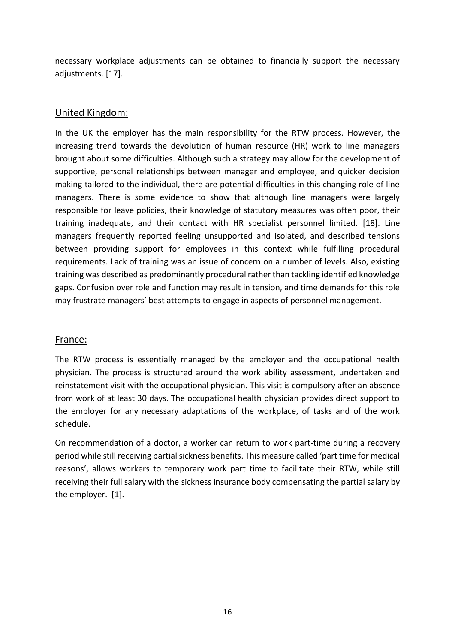necessary workplace adjustments can be obtained to financially support the necessary adjustments. [17].

#### United Kingdom:

In the UK the employer has the main responsibility for the RTW process. However, the increasing trend towards the devolution of human resource (HR) work to line managers brought about some difficulties. Although such a strategy may allow for the development of supportive, personal relationships between manager and employee, and quicker decision making tailored to the individual, there are potential difficulties in this changing role of line managers. There is some evidence to show that although line managers were largely responsible for leave policies, their knowledge of statutory measures was often poor, their training inadequate, and their contact with HR specialist personnel limited. [18]. Line managers frequently reported feeling unsupported and isolated, and described tensions between providing support for employees in this context while fulfilling procedural requirements. Lack of training was an issue of concern on a number of levels. Also, existing training was described as predominantly procedural rather than tackling identified knowledge gaps. Confusion over role and function may result in tension, and time demands for this role may frustrate managers' best attempts to engage in aspects of personnel management.

#### France:

The RTW process is essentially managed by the employer and the occupational health physician. The process is structured around the work ability assessment, undertaken and reinstatement visit with the occupational physician. This visit is compulsory after an absence from work of at least 30 days. The occupational health physician provides direct support to the employer for any necessary adaptations of the workplace, of tasks and of the work schedule.

On recommendation of a doctor, a worker can return to work part-time during a recovery period while still receiving partial sickness benefits. This measure called 'part time for medical reasons', allows workers to temporary work part time to facilitate their RTW, while still receiving their full salary with the sickness insurance body compensating the partial salary by the employer. [1].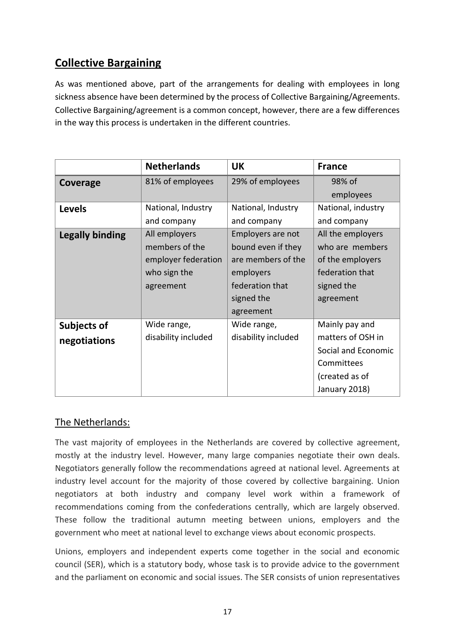## **Collective Bargaining**

As was mentioned above, part of the arrangements for dealing with employees in long sickness absence have been determined by the process of Collective Bargaining/Agreements. Collective Bargaining/agreement is a common concept, however, there are a few differences in the way this process is undertaken in the different countries.

|                        | <b>Netherlands</b>  | <b>UK</b>           | <b>France</b>       |
|------------------------|---------------------|---------------------|---------------------|
| Coverage               | 81% of employees    | 29% of employees    | 98% of              |
|                        |                     |                     | employees           |
| <b>Levels</b>          | National, Industry  | National, Industry  | National, industry  |
|                        | and company         | and company         | and company         |
| <b>Legally binding</b> | All employers       | Employers are not   | All the employers   |
|                        | members of the      | bound even if they  | who are members     |
|                        | employer federation | are members of the  | of the employers    |
|                        | who sign the        | employers           | federation that     |
|                        | agreement           | federation that     | signed the          |
|                        |                     | signed the          | agreement           |
|                        |                     | agreement           |                     |
| <b>Subjects of</b>     | Wide range,         | Wide range,         | Mainly pay and      |
| negotiations           | disability included | disability included | matters of OSH in   |
|                        |                     |                     | Social and Economic |
|                        |                     |                     | Committees          |
|                        |                     |                     | (created as of      |
|                        |                     |                     | January 2018)       |

### The Netherlands:

The vast majority of employees in the Netherlands are covered by collective agreement, mostly at the industry level. However, many large companies negotiate their own deals. Negotiators generally follow the recommendations agreed at national level. Agreements at industry level account for the majority of those covered by collective bargaining. Union negotiators at both industry and company level work within a framework of recommendations coming from the confederations centrally, which are largely observed. These follow the traditional autumn meeting between unions, employers and the government who meet at national level to exchange views about economic prospects.

Unions, employers and independent experts come together in the social and economic council (SER), which is a statutory body, whose task is to provide advice to the government and the parliament on economic and social issues. The SER consists of union representatives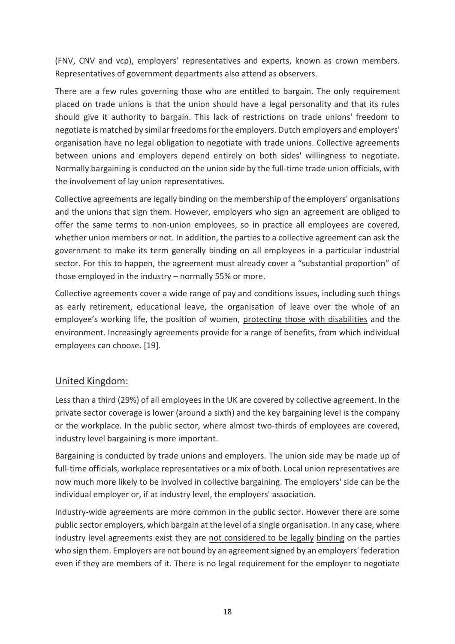(FNV, CNV and vcp), employers' representatives and experts, known as crown members. Representatives of government departments also attend as observers.

There are a few rules governing those who are entitled to bargain. The only requirement placed on trade unions is that the union should have a legal personality and that its rules should give it authority to bargain. This lack of restrictions on trade unions' freedom to negotiate is matched by similar freedoms for the employers. Dutch employers and employers' organisation have no legal obligation to negotiate with trade unions. Collective agreements between unions and employers depend entirely on both sides' willingness to negotiate. Normally bargaining is conducted on the union side by the full-time trade union officials, with the involvement of lay union representatives.

Collective agreements are legally binding on the membership of the employers' organisations and the unions that sign them. However, employers who sign an agreement are obliged to offer the same terms to non-union employees, so in practice all employees are covered, whether union members or not. In addition, the parties to a collective agreement can ask the government to make its term generally binding on all employees in a particular industrial sector. For this to happen, the agreement must already cover a "substantial proportion" of those employed in the industry – normally 55% or more.

Collective agreements cover a wide range of pay and conditions issues, including such things as early retirement, educational leave, the organisation of leave over the whole of an employee's working life, the position of women, protecting those with disabilities and the environment. Increasingly agreements provide for a range of benefits, from which individual employees can choose. [19].

### United Kingdom:

Less than a third (29%) of all employees in the UK are covered by collective agreement. In the private sector coverage is lower (around a sixth) and the key bargaining level is the company or the workplace. In the public sector, where almost two-thirds of employees are covered, industry level bargaining is more important.

Bargaining is conducted by trade unions and employers. The union side may be made up of full-time officials, workplace representatives or a mix of both. Local union representatives are now much more likely to be involved in collective bargaining. The employers' side can be the individual employer or, if at industry level, the employers' association.

Industry-wide agreements are more common in the public sector. However there are some public sector employers, which bargain at the level of a single organisation. In any case, where industry level agreements exist they are not considered to be legally binding on the parties who sign them. Employers are not bound by an agreement signed by an employers' federation even if they are members of it. There is no legal requirement for the employer to negotiate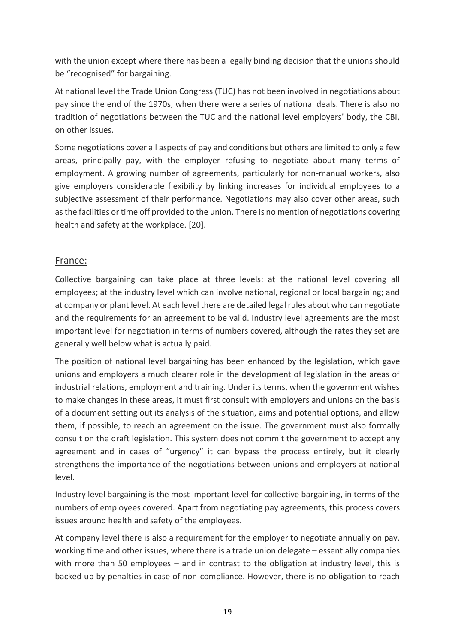with the union except where there has been a legally binding decision that the unions should be "recognised" for bargaining.

At national level the Trade Union Congress (TUC) has not been involved in negotiations about pay since the end of the 1970s, when there were a series of national deals. There is also no tradition of negotiations between the TUC and the national level employers' body, the CBI, on other issues.

Some negotiations cover all aspects of pay and conditions but others are limited to only a few areas, principally pay, with the employer refusing to negotiate about many terms of employment. A growing number of agreements, particularly for non-manual workers, also give employers considerable flexibility by linking increases for individual employees to a subjective assessment of their performance. Negotiations may also cover other areas, such as the facilities or time off provided to the union. There is no mention of negotiations covering health and safety at the workplace. [20].

### France:

Collective bargaining can take place at three levels: at the national level covering all employees; at the industry level which can involve national, regional or local bargaining; and at company or plant level. At each level there are detailed legal rules about who can negotiate and the requirements for an agreement to be valid. Industry level agreements are the most important level for negotiation in terms of numbers covered, although the rates they set are generally well below what is actually paid.

The position of national level bargaining has been enhanced by the legislation, which gave unions and employers a much clearer role in the development of legislation in the areas of industrial relations, employment and training. Under its terms, when the government wishes to make changes in these areas, it must first consult with employers and unions on the basis of a document setting out its analysis of the situation, aims and potential options, and allow them, if possible, to reach an agreement on the issue. The government must also formally consult on the draft legislation. This system does not commit the government to accept any agreement and in cases of "urgency" it can bypass the process entirely, but it clearly strengthens the importance of the negotiations between unions and employers at national level.

Industry level bargaining is the most important level for collective bargaining, in terms of the numbers of employees covered. Apart from negotiating pay agreements, this process covers issues around health and safety of the employees.

At company level there is also a requirement for the employer to negotiate annually on pay, working time and other issues, where there is a trade union delegate – essentially companies with more than 50 employees – and in contrast to the obligation at industry level, this is backed up by penalties in case of non-compliance. However, there is no obligation to reach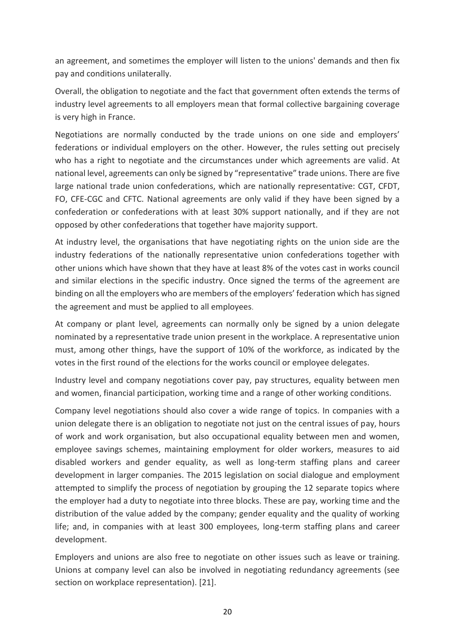an agreement, and sometimes the employer will listen to the unions' demands and then fix pay and conditions unilaterally.

Overall, the obligation to negotiate and the fact that government often extends the terms of industry level agreements to all employers mean that formal collective bargaining coverage is very high in France.

Negotiations are normally conducted by the trade unions on one side and employers' federations or individual employers on the other. However, the rules setting out precisely who has a right to negotiate and the circumstances under which agreements are valid. At national level, agreements can only be signed by "representative" trade unions. There are five large national trade union confederations, which are nationally representative: CGT, CFDT, FO, CFE-CGC and CFTC. National agreements are only valid if they have been signed by a confederation or confederations with at least 30% support nationally, and if they are not opposed by other confederations that together have majority support.

At industry level, the organisations that have negotiating rights on the union side are the industry federations of the nationally representative union confederations together with other unions which have shown that they have at least 8% of the votes cast in works council and similar elections in the specific industry. Once signed the terms of the agreement are binding on all the employers who are members of the employers' federation which has signed the agreement and must be applied to all employees.

At company or plant level, agreements can normally only be signed by a union delegate nominated by a representative trade union present in the workplace. A representative union must, among other things, have the support of 10% of the workforce, as indicated by the votes in the first round of the elections for the works council or employee delegates.

Industry level and company negotiations cover pay, pay structures, equality between men and women, financial participation, working time and a range of other working conditions.

Company level negotiations should also cover a wide range of topics. In companies with a union delegate there is an obligation to negotiate not just on the central issues of pay, hours of work and work organisation, but also occupational equality between men and women, employee savings schemes, maintaining employment for older workers, measures to aid disabled workers and gender equality, as well as long-term staffing plans and career development in larger companies. The 2015 legislation on social dialogue and employment attempted to simplify the process of negotiation by grouping the 12 separate topics where the employer had a duty to negotiate into three blocks. These are pay, working time and the distribution of the value added by the company; gender equality and the quality of working life; and, in companies with at least 300 employees, long-term staffing plans and career development.

Employers and unions are also free to negotiate on other issues such as leave or training. Unions at company level can also be involved in negotiating redundancy agreements (see section on workplace representation). [21].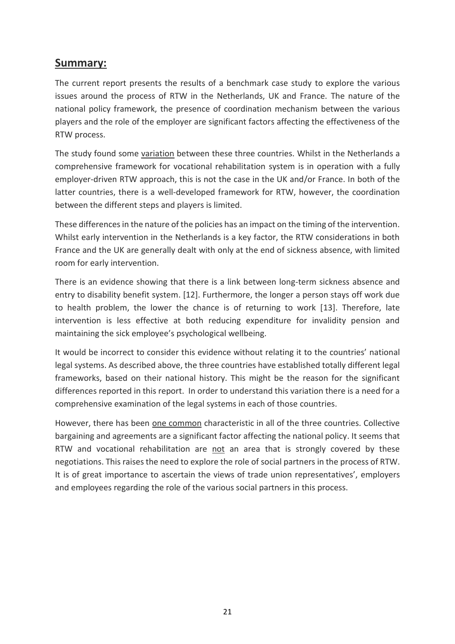## **Summary:**

The current report presents the results of a benchmark case study to explore the various issues around the process of RTW in the Netherlands, UK and France. The nature of the national policy framework, the presence of coordination mechanism between the various players and the role of the employer are significant factors affecting the effectiveness of the RTW process.

The study found some variation between these three countries. Whilst in the Netherlands a comprehensive framework for vocational rehabilitation system is in operation with a fully employer-driven RTW approach, this is not the case in the UK and/or France. In both of the latter countries, there is a well-developed framework for RTW, however, the coordination between the different steps and players is limited.

These differences in the nature of the policies has an impact on the timing of the intervention. Whilst early intervention in the Netherlands is a key factor, the RTW considerations in both France and the UK are generally dealt with only at the end of sickness absence, with limited room for early intervention.

There is an evidence showing that there is a link between long-term sickness absence and entry to disability benefit system. [12]. Furthermore, the longer a person stays off work due to health problem, the lower the chance is of returning to work [13]. Therefore, late intervention is less effective at both reducing expenditure for invalidity pension and maintaining the sick employee's psychological wellbeing.

It would be incorrect to consider this evidence without relating it to the countries' national legal systems. As described above, the three countries have established totally different legal frameworks, based on their national history. This might be the reason for the significant differences reported in this report. In order to understand this variation there is a need for a comprehensive examination of the legal systems in each of those countries.

However, there has been one common characteristic in all of the three countries. Collective bargaining and agreements are a significant factor affecting the national policy. It seems that RTW and vocational rehabilitation are not an area that is strongly covered by these negotiations. This raises the need to explore the role of social partners in the process of RTW. It is of great importance to ascertain the views of trade union representatives', employers and employees regarding the role of the various social partners in this process.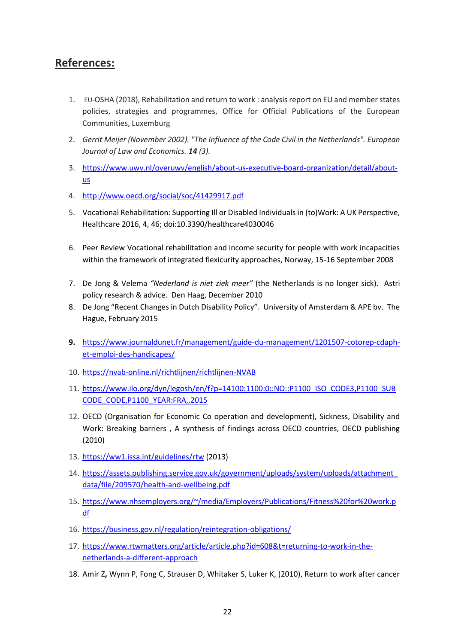## **References:**

- 1. EU-OSHA (2018), Rehabilitation and return to work : analysis report on EU and member states policies, strategies and programmes, Office for Official Publications of the European Communities, Luxemburg
- 2. *Gerrit Meijer (November 2002). "The Influence of the Code Civil in the Netherlands". European Journal of Law and Economics. 14 (3).*
- 3. [https://www.uwv.nl/overuwv/english/about-us-executive-board-organization/detail/about](https://www.uwv.nl/overuwv/english/about-us-executive-board-organization/detail/about-us)[us](https://www.uwv.nl/overuwv/english/about-us-executive-board-organization/detail/about-us)
- 4. <http://www.oecd.org/social/soc/41429917.pdf>
- 5. Vocational Rehabilitation: Supporting Ill or Disabled Individuals in (to)Work: A UK Perspective, Healthcare 2016, 4, 46; doi:10.3390/healthcare4030046
- 6. Peer Review Vocational rehabilitation and income security for people with work incapacities within the framework of integrated flexicurity approaches, Norway, 15-16 September 2008
- 7. De Jong & Velema *"Nederland is niet ziek meer"* (the Netherlands is no longer sick). Astri policy research & advice. Den Haag, December 2010
- 8. De Jong "Recent Changes in Dutch Disability Policy". University of Amsterdam & APE bv. The Hague, February 2015
- **9.** [https://www.journaldunet.fr/management/guide-du-management/1201507-cotorep-cdaph](https://www.journaldunet.fr/management/guide-du-management/1201507-cotorep-cdaph-et-emploi-des-handicapes/)[et-emploi-des-handicapes/](https://www.journaldunet.fr/management/guide-du-management/1201507-cotorep-cdaph-et-emploi-des-handicapes/)
- 10. <https://nvab-online.nl/richtlijnen/richtlijnen-NVAB>
- 11. [https://www.ilo.org/dyn/legosh/en/f?p=14100:1100:0::NO::P1100\\_ISO\\_CODE3,P1100\\_SUB](https://www.ilo.org/dyn/legosh/en/f?p=14100:1100:0::NO::P1100_ISO_CODE3,P1100_SUBCODE_CODE,P1100_YEAR:FRA,,2015) [CODE\\_CODE,P1100\\_YEAR:FRA,,2015](https://www.ilo.org/dyn/legosh/en/f?p=14100:1100:0::NO::P1100_ISO_CODE3,P1100_SUBCODE_CODE,P1100_YEAR:FRA,,2015)
- 12. OECD (Organisation for Economic Co operation and development), Sickness, Disability and Work: Breaking barriers , A synthesis of findings across OECD countries, OECD publishing (2010)
- 13. <https://ww1.issa.int/guidelines/rtw> (2013)
- 14. [https://assets.publishing.service.gov.uk/government/uploads/system/uploads/attachment\\_](https://assets.publishing.service.gov.uk/government/uploads/system/uploads/attachment_data/file/209570/health-and-wellbeing.pdf) [data/file/209570/health-and-wellbeing.pdf](https://assets.publishing.service.gov.uk/government/uploads/system/uploads/attachment_data/file/209570/health-and-wellbeing.pdf)
- 15. [https://www.nhsemployers.org/~/media/Employers/Publications/Fitness%20for%20work.p](https://www.nhsemployers.org/~/media/Employers/Publications/Fitness%20for%20work.pdf) [df](https://www.nhsemployers.org/~/media/Employers/Publications/Fitness%20for%20work.pdf)
- 16. <https://business.gov.nl/regulation/reintegration-obligations/>
- 17. [https://www.rtwmatters.org/article/article.php?id=608&t=returning-to-work-in-the](https://www.rtwmatters.org/article/article.php?id=608&t=returning-to-work-in-the-netherlands-a-different-approach)[netherlands-a-different-approach](https://www.rtwmatters.org/article/article.php?id=608&t=returning-to-work-in-the-netherlands-a-different-approach)
- 18. Amir Z**,** Wynn P, Fong C, Strauser D, Whitaker S, Luker K, (2010), Return to work after cancer